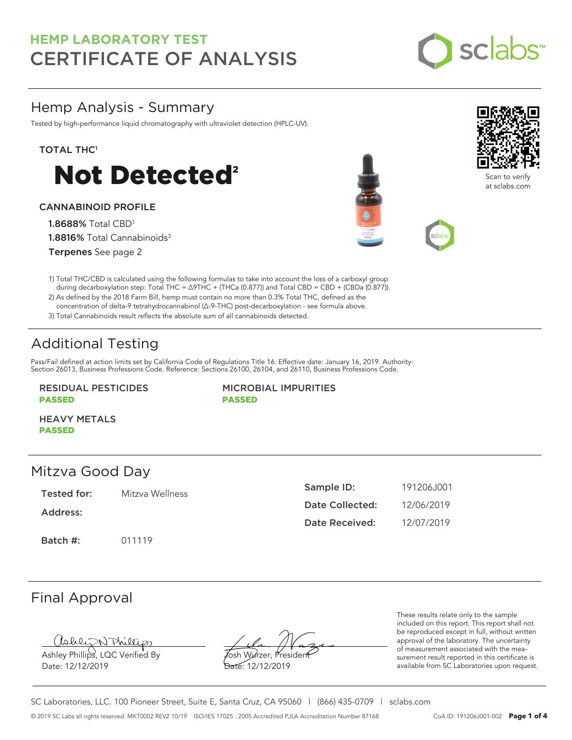

## Hemp Analysis - Summary

Tested by high-performance liquid chromatography with ultraviolet detection (HPLC-UV).

#### TOTAL THC<sup>1</sup>



### CANNABINOID PROFILE

1.8688% Total CBD<sup>1</sup> 1.8816% Total Cannabinoids<sup>3</sup> Terpenes See page 2





Scan to ve at sclabs.com



2) As defined by the 2018 Farm Bill, hemp must contain no more than 0.3% Total THC, defined as the concentration of delta-9 tetrahydrocannabinol (Δ-9-THC) post-decarboxylation - see formula above.

3) Total Cannabinoids result reflects the absolute sum of all cannabinoids detected.

# Additional Testing

Pass/Fail defined at action limits set by California Code of Regulations Title 16. Effective date: January 16, 2019. Authority: Section 26013, Business Professions Code. Reference: Sections 26100, 26104, and 26110, Business Professions Code.

#### RESIDUAL PESTICIDES PASSED

MICROBIAL IMPURITIES PASSED

HEAVY METALS PASSED

### Mitzva Good Day

Tested for: Mitzva Wellness

Address:

Batch #: 011119

| Sample ID:      | 191206.J001 |
|-----------------|-------------|
| Date Collected: | 12/06/2019  |
| Date Received:  | 12/07/2019  |

## Final Approval

Ashley Phillips, LQC Verified By

Date: 12/12/2019

Josh Wurzer, President Date: 12/12/2019

These results relate only to the sample included on this report. This report shall not be reproduced except in full, without written approval of the laboratory. The uncertainty of measurement associated with the measurement result reported in this certificate is available from SC Laboratories upon request.

SC Laboratories, LLC. 100 Pioneer Street, Suite E, Santa Cruz, CA 95060 | (866) 435-0709 | sclabs.com © 2019 SC Labs all rights reserved. MKT0002 REV2 10/19 ISO/IES 17025 : 2005 Accredited PJLA Accreditation Number 87168 CoA ID: 191206J001-002 **Page 1 of 4**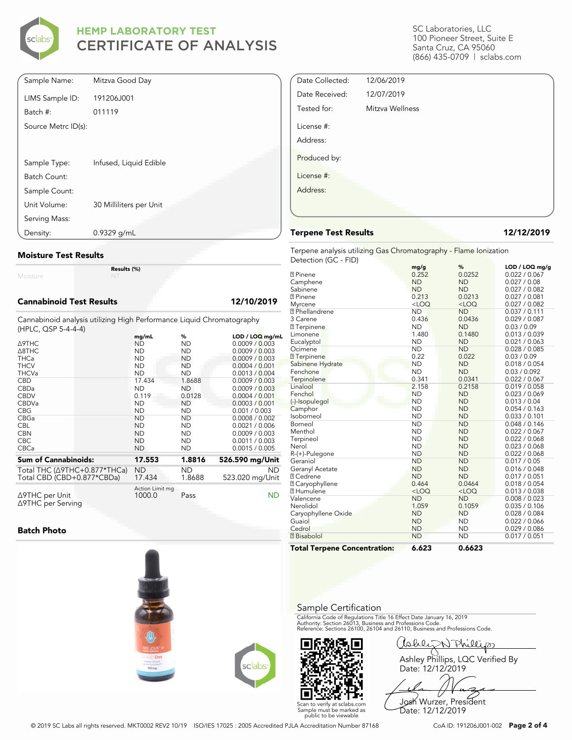

| Sample Name:        | Mitzva Good Day         |
|---------------------|-------------------------|
| LIMS Sample ID:     | 191206J001              |
| Batch #:            | 011119                  |
| Source Metrc ID(s): |                         |
|                     |                         |
| Sample Type:        | Infused, Liquid Edible  |
|                     |                         |
| Batch Count:        |                         |
| Sample Count:       |                         |
| Unit Volume:        | 30 Milliliters per Unit |
| Serving Mass:       |                         |
| Density:            | 0.9329 g/mL             |

#### **Moisture Test Results**

Moisture

#### **Cannabinoid Test Results 12/10/2019**

Cannabinoid analysis utilizing High Performance Liquid Chromatography (HPLC, QSP 5-4-4-4)

**Results (%)**

|                                                | mg/mL                     | %         | $LOD / LOQ$ mg/mL |
|------------------------------------------------|---------------------------|-----------|-------------------|
| Δ9THC                                          | ND                        | ND        | 0.0009 / 0.003    |
| $\triangle$ 8THC                               | <b>ND</b>                 | <b>ND</b> | 0.0009 / 0.003    |
| <b>THCa</b>                                    | <b>ND</b>                 | <b>ND</b> | 0.0009 / 0.003    |
| <b>THCV</b>                                    | <b>ND</b>                 | <b>ND</b> | 0.0004 / 0.001    |
| <b>THCVa</b>                                   | <b>ND</b>                 | <b>ND</b> | 0.0013 / 0.004    |
| <b>CBD</b>                                     | 17.434                    | 1.8688    | 0.0009 / 0.003    |
| CBDa                                           | <b>ND</b>                 | <b>ND</b> | 0.0009 / 0.003    |
| <b>CBDV</b>                                    | 0.119                     | 0.0128    | 0.0004 / 0.001    |
| <b>CBDVa</b>                                   | <b>ND</b>                 | ND        | 0.0003 / 0.001    |
| <b>CBG</b>                                     | <b>ND</b>                 | ND        | 0.001 / 0.003     |
| <b>CBGa</b>                                    | <b>ND</b>                 | <b>ND</b> | 0.0008 / 0.002    |
| <b>CBL</b>                                     | <b>ND</b>                 | <b>ND</b> | 0.0021 / 0.006    |
| <b>CBN</b>                                     | <b>ND</b>                 | ND        | 0.0009 / 0.003    |
| <b>CBC</b>                                     | <b>ND</b>                 | <b>ND</b> | 0.0011 / 0.003    |
| <b>CBCa</b>                                    | <b>ND</b>                 | <b>ND</b> | 0.0015 / 0.005    |
| <b>Sum of Cannabinoids:</b>                    | 17.553                    | 1.8816    | 526.590 mg/Unit   |
| Total THC (∆9THC+0.877*THCa)                   | ND                        | ND.       | <b>ND</b>         |
| Total CBD (CBD+0.877*CBDa)                     | 17.434                    | 1.8688    | 523.020 mg/Unit   |
| $\triangle$ 9THC per Unit<br>∆9THC per Serving | Action Limit mg<br>1000.0 | Pass      | ND                |

#### **Batch Photo**







SC Laboratories, LLC 100 Pioneer Street, Suite E Santa Cruz, CA 95060 (866) 435-0709 | sclabs.com

| Date Collected: | 12/06/2019      |  |
|-----------------|-----------------|--|
| Date Received:  | 12/07/2019      |  |
| Tested for:     | Mitzva Wellness |  |
| License #:      |                 |  |
| Address:        |                 |  |
| Produced by:    |                 |  |
| License #:      |                 |  |
| Address:        |                 |  |
|                 |                 |  |
|                 |                 |  |

#### **Terpene Test Results 12/12/2019**

Terpene analysis utilizing Gas Chromatography - Flame Ionization Detection (GC - FID)

|                                     | mg/g      | %         | LOD / LOQ mg/g |
|-------------------------------------|-----------|-----------|----------------|
| <b>7</b> Pinene                     | 0.252     | 0.0252    | 0.022 / 0.067  |
| Camphene                            | <b>ND</b> | <b>ND</b> | 0.027 / 0.08   |
| Sabinene                            | <b>ND</b> | <b>ND</b> | 0.027 / 0.082  |
| <b>7</b> Pinene                     | 0.213     | 0.0213    | 0.027 / 0.081  |
| Myrcene                             | $<$ LOQ   | $<$ LOQ   | 0.027 / 0.082  |
| <sup>2</sup> Phellandrene           | <b>ND</b> | <b>ND</b> | 0.037 / 0.111  |
| 3 Carene                            | 0.436     | 0.0436    | 0.029 / 0.087  |
| <b>7</b> Terpinene                  | <b>ND</b> | <b>ND</b> | 0.03 / 0.09    |
| Limonene                            | 1.480     | 0.1480    | 0.013 / 0.039  |
| Eucalyptol                          | <b>ND</b> | <b>ND</b> | 0.021 / 0.063  |
| Ocimene                             | <b>ND</b> | <b>ND</b> | 0.028 / 0.085  |
| <b>7</b> Terpinene                  | 0.22      | 0.022     | 0.03 / 0.09    |
| Sabinene Hydrate                    | <b>ND</b> | <b>ND</b> | 0.018 / 0.054  |
| Fenchone                            | <b>ND</b> | <b>ND</b> | 0.03 / 0.092   |
| Terpinolene                         | 0.341     | 0.0341    | 0.022 / 0.067  |
| Linalool                            | 2.158     | 0.2158    | 0.019 / 0.058  |
| Fenchol                             | <b>ND</b> | <b>ND</b> | 0.023 / 0.069  |
| (-)-Isopulegol                      | <b>ND</b> | <b>ND</b> | 0.013 / 0.04   |
| Camphor                             | <b>ND</b> | <b>ND</b> | 0.054 / 0.163  |
| Isoborneol                          | <b>ND</b> | <b>ND</b> | 0.033 / 0.101  |
| Borneol                             | <b>ND</b> | <b>ND</b> | 0.048 / 0.146  |
| Menthol                             | <b>ND</b> | <b>ND</b> | 0.022 / 0.067  |
| Terpineol                           | <b>ND</b> | <b>ND</b> | 0.022 / 0.068  |
| Nerol                               | <b>ND</b> | <b>ND</b> | 0.023 / 0.068  |
| R-(+)-Pulegone                      | <b>ND</b> | <b>ND</b> | 0.022 / 0.068  |
| Geraniol                            | <b>ND</b> | <b>ND</b> | 0.017 / 0.05   |
| Geranyl Acetate                     | <b>ND</b> | <b>ND</b> | 0.016 / 0.048  |
| <b>7 Cedrene</b>                    | <b>ND</b> | <b>ND</b> | 0.017 / 0.051  |
| <b>7 Caryophyllene</b>              | 0.464     | 0.0464    | 0.018 / 0.054  |
| <b>7 Humulene</b>                   | $<$ LOQ   | $<$ LOQ   | 0.013 / 0.038  |
| Valencene                           | <b>ND</b> | <b>ND</b> | 0.008 / 0.023  |
| Nerolidol                           | 1.059     | 0.1059    | 0.035 / 0.106  |
| Caryophyllene Oxide                 | <b>ND</b> | <b>ND</b> | 0.028 / 0.084  |
| Guaiol                              | <b>ND</b> | <b>ND</b> | 0.022 / 0.066  |
| Cedrol                              | <b>ND</b> | <b>ND</b> | 0.029 / 0.086  |
| <b>7</b> Bisabolol                  | <b>ND</b> | <b>ND</b> | 0.017 / 0.051  |
| <b>Total Terpene Concentration:</b> | 6.623     | 0.6623    |                |

#### Sample Certification

California Code of Regulations Title 16 Effect Date January 16, 2019<br>Authority: Section 26013, Business and Professions Code.<br>Reference: Sections 26100, 26104 and 26110, Business and Professions Code.

Callez N Phillips Ashley Phillips, LQC Verified By Date: 12/12/2019

Josh Wurzer, President Date: 12/12/2019

© 2019 SC Labs all rights reserved. MKT0002 REV2 10/19 ISO/IES 17025 : 2005 Accredited PJLA Accreditation Number 87168 CoA ID: 191206J001-002 **Page 2 of 4**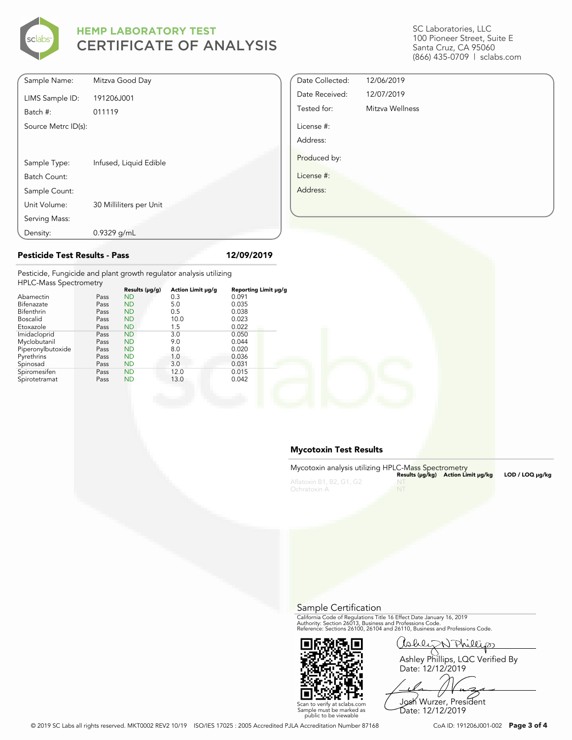

SC Laboratories, LLC 100 Pioneer Street, Suite E Santa Cruz, CA 95060 (866) 435-0709 | sclabs.com

| Sample Name:        | Mitzva Good Day         |
|---------------------|-------------------------|
| LIMS Sample ID:     | 191206J001              |
| Batch #:            | 011119                  |
| Source Metrc ID(s): |                         |
|                     |                         |
| Sample Type:        | Infused, Liquid Edible  |
| Batch Count:        |                         |
| Sample Count:       |                         |
| Unit Volume:        | 30 Milliliters per Unit |
| Serving Mass:       |                         |
| Density:            | $0.9329$ g/mL           |

| Date Collected: | 12/06/2019      |
|-----------------|-----------------|
| Date Received:  | 12/07/2019      |
| Tested for:     | Mitzva Wellness |
| License #:      |                 |
| Address:        |                 |
| Produced by:    |                 |
| License #:      |                 |
| Address:        |                 |
|                 |                 |

#### **Pesticide Test Results - Pass 12/09/2019**

Pesticide, Fungicide and plant growth regulator analysis utilizing HPLC-Mass Spectrometry

| TH LONGSS SPECTIONICITY |      |                |                   |                      |  |
|-------------------------|------|----------------|-------------------|----------------------|--|
|                         |      | Results (µg/g) | Action Limit µg/g | Reporting Limit µg/g |  |
| Abamectin               | Pass | <b>ND</b>      | 0.3               | 0.091                |  |
| Bifenazate              | Pass | <b>ND</b>      | 5.0               | 0.035                |  |
| Bifenthrin              | Pass | <b>ND</b>      | 0.5               | 0.038                |  |
| <b>Boscalid</b>         | Pass | <b>ND</b>      | 10.0              | 0.023                |  |
| Etoxazole               | Pass | <b>ND</b>      | 1.5               | 0.022                |  |
| Imidacloprid            | Pass | <b>ND</b>      | 3.0               | 0.050                |  |
| Myclobutanil            | Pass | <b>ND</b>      | 9.0               | 0.044                |  |
| Piperonylbutoxide       | Pass | <b>ND</b>      | 8.0               | 0.020                |  |
| Pyrethrins              | Pass | <b>ND</b>      | 1.0               | 0.036                |  |
| Spinosad                | Pass | <b>ND</b>      | 3.0               | 0.031                |  |
| Spiromesifen            | Pass | <b>ND</b>      | 12.0              | 0.015                |  |
| Spirotetramat           | Pass | <b>ND</b>      | 13.0              | 0.042                |  |
|                         |      |                |                   |                      |  |

#### **Mycotoxin Test Results**

| Mycotoxin analysis utilizing HPLC-Mass Spectrometry |         | Results (µq/kq) Action Limit µq/kq | LOD / LOQ µq/kq |
|-----------------------------------------------------|---------|------------------------------------|-----------------|
| Aflatoxin B1, B2, G1, G2<br>Ochratoxin A            | $- N T$ |                                    |                 |

Sample Certification

California Code of Regulations Title 16 Effect Date January 16, 2019<br>Authority: Section 26013, Business and Professions Code.<br>Reference: Sections 26100, 26104 and 26110, Business and Professions Code.



Callez N Phillips

Ashley Phillips, LQC Verified By Date: 12/12/2019

Josh Wurzer, President Date: 12/12/2019

Scan to verify at sclabs.com Sample must be marked as public to be viewable